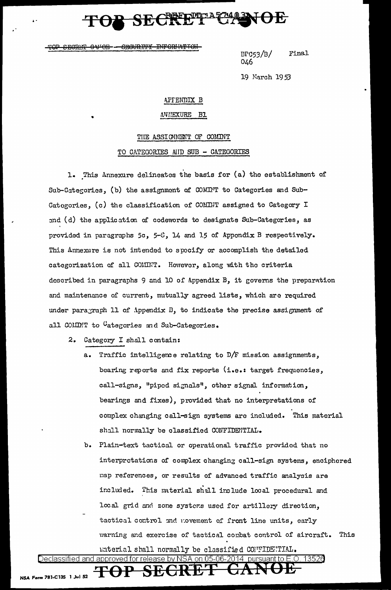**INFORIATTOH** <del>o vrori</del> <del>CEOUR.TT</del>

Final  $BPG53/B/$ 046

19 March 1953

### APFENDIX B

### **ANIEXURE** B1

### THE ASSIGNMENT OF COMINT

### TO CATEGORIES AND SUB - CATEGORIES

1. This Annexure delineates the basis for (a) the establishment of Sub-Categories, (b) the assignment of COMITT to Categories and Sub-Categories, (c) the classification of COMINT assigned to Category I and (d) the application of codewords to designate Sub-Categories, as provided in paragraphs 5c, 5-8, 14 and 15 of Appondix B respectively. This Annexure is not intended to specify or accomplish the detailed categorization of all COMINT. However, along with the criteria described in paragraphs 9 and 10 of Appendix B, it governs the preparation and maintenance of current, mutually agreed lists, which are required under paragraph 11 of Appendix B, to indicate the precise assignment of all COMINT to Categories and Sub-Categories.

- 2. Category I shall contain:
	- Traffic intelligence relating to D/F mission assignments,  $a$ bearing reports and fix reports (i.e.: target frequencies, call-signs, "piped signals", other signal information, bearings and fixes), provided that no interpretations of complex changing call-sign systems are included. This material shall normally be classified CONFIDENTIAL.
	- b. Plain-text tactical or operational traffic provided that no interprotations of complex changing call-sign systems, enciphered map references, or results of advanced traffic analysis are included. This material shall include local procedural and local grid and zone systems used for artillery direction, tactical control and movement of front line units, early warning and exercise of tactical combat control of aircraft. This

material shall normally be classified CONNIDENTIAL.

Declassified and approved for release by NSA on 05-06-2014  $\,$  pursuant to E.O  $\,$ 13520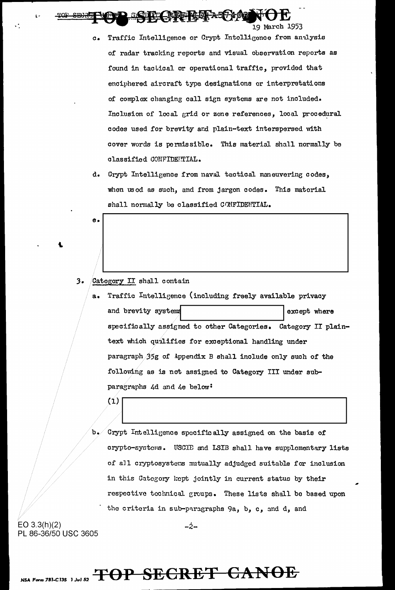$\mathbb{E} \left( \mathbb{E} \left[ \mathbb{E} \left[ \mathbb{E} \left[ \mathbb{E} \left[ \mathbb{E} \left[ \mathbb{E} \left[ \mathbb{E} \left[ \mathbb{E} \left[ \mathbb{E} \left[ \mathbb{E} \left[ \mathbb{E} \left[ \mathbb{E} \left[ \mathbb{E} \left[ \mathbb{E} \left[ \mathbb{E} \left[ \mathbb{E} \left[ \mathbb{E} \left[ \mathbb{E} \left[ \mathbb{E} \left[ \mathbb{E} \left[ \mathbb{E} \left[ \mathbb{E} \left[ \mathbb{E} \left[ \mathbb{$ 

c. Traffic Intelligence or Crypt Intelligence from analysis of radar trackine reports and visual observation reports as found in taclical or operational traffic, provided that enciphered aircraft type designations or interpretations of complex changing call sign systems are not included. Inclusion of local grid or zone references, local procedural codes used for brevity and plain-text interspersed with cover words is permissible. This material shall normally be classified CONFIDENTIAL.

19 March 1953

d. Crypt Intelligence from naval tactical maneuvering codes, when us od as such, and from jargon codes. This material shall normally be classified CONFIDENTIAL.

*3.* Category: II shall contain

e.

a. Traffic Intelligence (including freely available privacy and brevity systems  $\vert$  except where specifically assigned to other Categories. Category II plaintext which qualifies for exceptional handling under paragraph .35g of Appendix B shall include only such of the following as is not assigned to Category III under subparagraphs 4d and 4e below:

Grypt Intelligence specifically assigned on the basis of crypto-systems. USCIE and LSIB shall have supplementary lists of all cryptosystems mutually adjudged suitable for inclusion in this Category kept jointly in current status by their respective technical groups. These lists shall be based upon the criteria in sub-paragraphs 9a, b, c, and d, and

 $\left( \begin{array}{c} 1 \end{array} \right)$ 

EO 3.3(h)(2) PL 86-36/50 USC 3605

-2-

# *NSA* Form *181-C 13S* J *Jul 52* **TOP SECRET CANOE**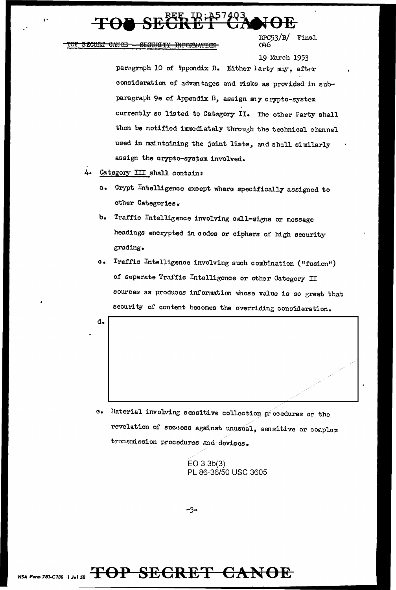TOF SECRET CANOE - SECURITY INFORMATION

 $BFC53/B/$ Final  $Q<sub>46</sub>$ 

19 March 1953 paragraph 10 of Appondix B. Either larty may, after consideration of advantages and risks as provided in subparagraph 9e of Appendix B, assign any crypto-system currently so listed to Category II. The other Farty shall then be notified immediately through the technical channel used in maintaining the joint lists, and shall similarly assign the crypto-system involved.

- Category III shall contain:
	- a. Crypt Intelligence except where specifically assigned to other Categories.
	- Traffic Intelligence involving call-signs or message b. headings encrypted in codes or ciphers of high security grading.
	- Traffic Intelligence involving such combination ("fusion")  $\mathbf{c}$ . of separate Traffic Intelligence or other Category II sources as produces information whose value is so great that security of content becomes the overriding consideration.

d.

Material involving sensitive collection procedures or the  $\mathbf{e}$ . revelation of success against unusual, sensitive or complox transmission procedures and devices.

> $EO$  3.3 $b(3)$ PL 86-36/50 USC 3605

-3-

NSA Form 781-C135 1 Jul 52 TOP SEGRET CANOE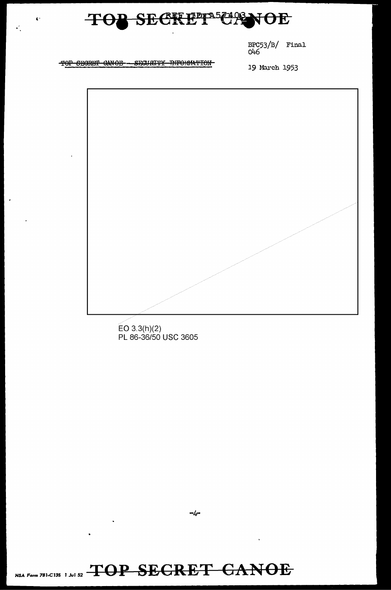

 $\frac{\text{BPC53}}{\text{O46}}$ Final

TOP SECRET CANOE - SECURITY RIFORMATION

 $\ddot{\bullet}$ 

Ϋ́,

19 March 1953

 $EO 3.3(h)(2)$ PL 86-36/50 USC 3605

NSA Form 781-C13S 1 Jul 52 TOP SEGRET GANOE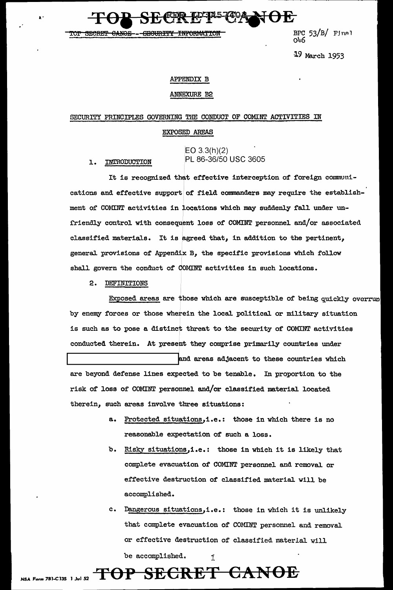<del>"ANOF" - CECURTITY</del> <del>INFORMATIO</del>I BPC  $53/B$ / Final റുപ്പ

19 March 1953

### **APPENDIX B**

### ANNEXURE B2

### SECURITY PRINCIPLES GOVERNING THE CONDUCT OF COMINT ACTIVITIES IN

### EXPOSED AREAS

 $EO 3.3(h)(2)$ PL 86-36/50 USC 3605

It is recognized that effective interception of foreign communications and effective support of field commanders may require the establishment of COMINT activities in locations which may suddenly fall under unfriendly control with consequent loss of COMINT personnel and/or associated classified materials. It is agreed that, in addition to the pertinent, general provisions of Appendix B, the specific provisions which follow shall govern the conduct of COMINT activities in such locations.

2. DEFINITIONS

1. INTRODUCTION

Exposed areas are those which are susceptible of being quickly overrun by enemy forces or those wherein the local political or military situation is such as to pose a distinct threat to the security of COMINT activities conducted therein. At present they comprise primarily countries under and areas adjacent to these countries which

are beyond defense lines expected to be tenable. In proportion to the risk of loss of COMINT personnel and/or classified material located therein, such areas involve three situations:

- a. Protected situations, i.e.: those in which there is no reasonable expectation of such a loss.
- b. Risky situations, i.e.: those in which it is likely that complete evacuation of COMINT personnel and removal or effective destruction of classified material will be accomplished.
- c. Dangerous situations, i.e.: those in which it is unlikely that complete evacuation of COMINT personnel and removal or effective destruction of classified material will

Ť

TOP SECRET CANOE

be accomplished.

NSA Form 781-C13S 1 Jul 52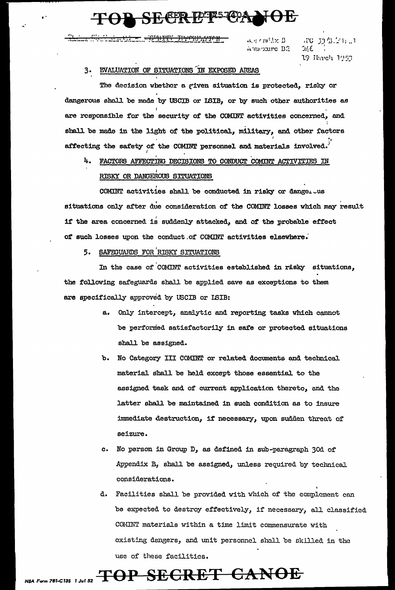## **SECRETE CA**

 $\alpha_{\rm eff}$  crubix  $B$  . Americante B2

uro da Antiun  $3.16$ 19 Ikareh 1953

### 3. EVALUATION OF SITUATIONS IN EXPOSED AREAS

The decision whether a given situation is protected, risky or dangerous shall be made by USCIB or ISIB, or by such other authorities as are responsible for the security of the COMINT activities concerned, and shall be made in the light of the political, military, and other factors affecting the safety of the COMINT personnel and materials involved.

### FACTORS AFFECTING DECISIONS TO CONDUCT COMINT ACTIVITIES IN 4. RISKY OR DANGEROUS SITUATIONS

COMINT activities shall be conducted in risky or danger was situations only after due consideration of the COMINT losses which may result if the area concerned is suddenly attacked, and of the probable effect of such losses upon the conduct of COMINT activities elsewhere.

### 5. SAFEGUARDS FOR RISKY SITUATIONS

In the case of COMINT activities established in risky situations, the following safeguards shall be applied save as exceptions to them are specifically approved by USCIB or ISIB:

- a. Only intercept, analytic and reporting tasks which cannot be performed satisfactorily in safe or protected situations shall be assigned.
- b. No Category III COMINT or related documents and technical material shall be held except those essential to the assigned task and of current application thereto, and the latter shall be maintained in such condition as to insure immediate destruction, if necessary, upon sudden threat of seizure.
- c. No person in Group D, as defined in sub-paragraph 30d of Appendix B, shall be assigned, unless required by technical considerations.
- Facilities shall be provided with which of the complement can d. be expected to destroy effectively, if necessary, all classified COMINT materials within a time limit commensurate with existing dangers, and unit personnel shall be skilled in the use of these facilities.

# NSA Form 781-C135 1 Jul 52  $\text{TOP}$  SEGRET CANOE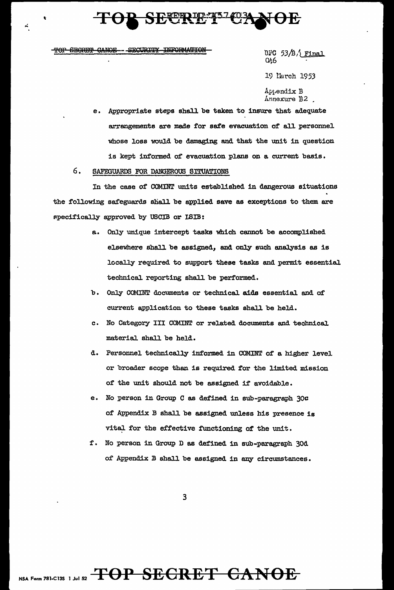# **SECRETE**

- SECURITY INFORMATION TOP SECRET CANOE

BPC  $53/B/$  Final  $Q<sub>26</sub>$ 19 Narch 1953 Appendix B lrnnexure B2 .

e. Appropriate steps shall be taken to insure that adequate arrangements are made for safe evacuation of all personnel whose loss would be damaging and that the unit in question is kept informed of evacuation plans on a current basis.

## 6. SAFEGUARDS FOR DANGEROUS SITUATIONS

In the case of COMINT units established in dangerous situations the following safeguards shall be applied save as exceptions to them are specifically approved by USCIB or ISIB:

- a. Only unique intercept tasks which cannot be accomplished elsewhere shall be assigned, and only such analysis as is locally required to support these tasks and permit essential technical reporting shall be performed.
- b Only COMINT documents or technical aids essential and of current application to these tasks shall be held.
- c. No Category III COMINT or related documents and technical material shall be held.
- d. Personnel technically informed in COMINT of a higher level. or broader scope than is required for the limited mission of the unit should not be assigned if avoidable.
- e. No person in Group C as defined in sub-paragraph 3oc of Appendix B shall be assigned unless his presence is vital for the effective functioning of the unit.
- f. No person in Group D as defined in sub-paragraph 30d of Appendix B shall be assigned in any circumstances.

3

# NSA Form 781-C13S 1 Jul 52 **TOP SECRET CANOE**